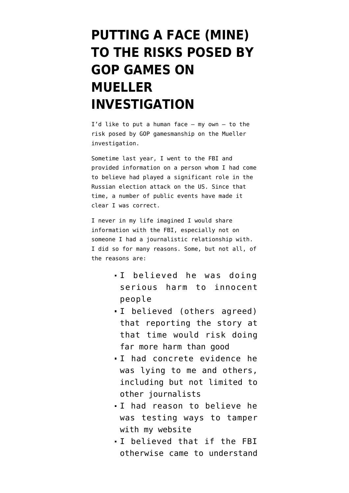## **[PUTTING A FACE \(MINE\)](https://www.emptywheel.net/2018/07/03/putting-a-face-mine-to-the-risks-posed-by-gop-games-on-mueller-investigation/) [TO THE RISKS POSED BY](https://www.emptywheel.net/2018/07/03/putting-a-face-mine-to-the-risks-posed-by-gop-games-on-mueller-investigation/) [GOP GAMES ON](https://www.emptywheel.net/2018/07/03/putting-a-face-mine-to-the-risks-posed-by-gop-games-on-mueller-investigation/) [MUELLER](https://www.emptywheel.net/2018/07/03/putting-a-face-mine-to-the-risks-posed-by-gop-games-on-mueller-investigation/) [INVESTIGATION](https://www.emptywheel.net/2018/07/03/putting-a-face-mine-to-the-risks-posed-by-gop-games-on-mueller-investigation/)**

I'd like to put a human face  $-$  my own  $-$  to the risk posed by GOP gamesmanship on the Mueller investigation.

Sometime last year, I went to the FBI and provided information on a person whom I had come to believe had played a significant role in the Russian election attack on the US. Since that time, a number of public events have made it clear I was correct.

I never in my life imagined I would share information with the FBI, especially not on someone I had a journalistic relationship with. I did so for many reasons. Some, but not all, of the reasons are:

- I believed he was doing serious harm to innocent people
- I believed (others agreed) that reporting the story at that time would risk doing far more harm than good
- I had concrete evidence he was lying to me and others, including but not limited to other journalists
- I had reason to believe he was testing ways to tamper with my website
- I believed that if the FBI otherwise came to understand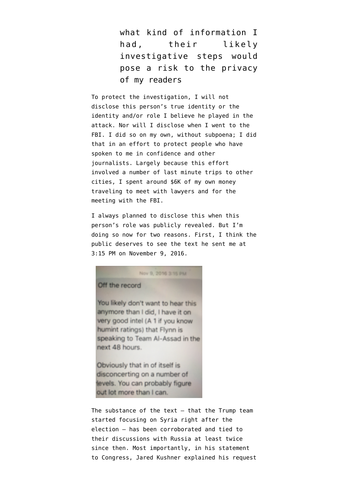what kind of information I had, their likely investigative steps would pose a risk to the privacy of my readers

To protect the investigation, I will not disclose this person's true identity or the identity and/or role I believe he played in the attack. Nor will I disclose when I went to the FBI. I did so on my own, without subpoena; I did that in an effort to protect people who have spoken to me in confidence and other journalists. Largely because this effort involved a number of last minute trips to other cities, I spent around \$6K of my own money traveling to meet with lawyers and for the meeting with the FBI.

I always planned to disclose this when this person's role was publicly revealed. But I'm doing so now for two reasons. First, I think the public deserves to see the text he sent me at 3:15 PM on November 9, 2016.

Nov 9, 2016 3:15 PM

## Off the record

You likely don't want to hear this anymore than I did, I have it on very good intel (A 1 if you know humint ratings) that Flynn is speaking to Team Al-Assad in the next 48 hours.

Obviously that in of itself is disconcerting on a number of tevels. You can probably figure out lot more than I can.

The substance of the text  $-$  that the Trump team started focusing on Syria right after the election — has been corroborated and tied to their discussions with Russia at least twice since then. Most importantly, in his statement to Congress, Jared Kushner [explained](https://edition.cnn.com/2017/07/24/politics/jared-kushner-statement-russia-2016-election/index.html) his request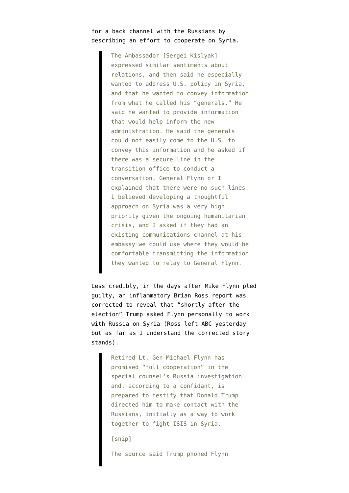## for a back channel with the Russians by describing an effort to cooperate on Syria.

The Ambassador [Sergei Kislyak] expressed similar sentiments about relations, and then said he especially wanted to address U.S. policy in Syria, and that he wanted to convey information from what he called his "generals." He said he wanted to provide information that would help inform the new administration. He said the generals could not easily come to the U.S. to convey this information and he asked if there was a secure line in the transition office to conduct a conversation. General Flynn or I explained that there were no such lines. I believed developing a thoughtful approach on Syria was a very high priority given the ongoing humanitarian crisis, and I asked if they had an existing communications channel at his embassy we could use where they would be comfortable transmitting the information they wanted to relay to General Flynn.

Less credibly, in the days after Mike Flynn pled guilty, an inflammatory Brian Ross [report](https://abcnews.go.com/Politics/michael-flynn-charged-making-false-statements-fbi-documents/story?id=50849354) was corrected to reveal that "shortly after the election" Trump asked Flynn personally to work with Russia on Syria (Ross left ABC yesterday but as far as I understand the corrected story stands).

> Retired Lt. Gen Michael Flynn has promised "full cooperation" in the special counsel's Russia investigation and, according to a confidant, is prepared to testify that Donald Trump directed him to make contact with the Russians, initially as a way to work together to fight ISIS in Syria.

[snip]

The source said Trump phoned Flynn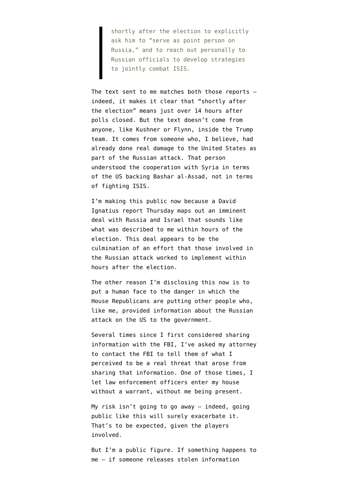shortly after the election to explicitly ask him to "serve as point person on Russia," and to reach out personally to Russian officials to develop strategies to jointly combat ISIS.

The text sent to me matches both those reports indeed, it makes it clear that "shortly after the election" means just over 14 hours after polls closed. But the text doesn't come from anyone, like Kushner or Flynn, inside the Trump team. It comes from someone who, I believe, had already done real damage to the United States as part of the Russian attack. That person understood the cooperation with Syria in terms of the US backing Bashar al-Assad, not in terms of fighting ISIS.

I'm making this public now because a David Ignatius [report](https://www.washingtonpost.com/opinions/global-opinions/is-trump-handing-putin-a-victory-in-syria/2018/06/28/a853657a-7b14-11e8-93cc-6d3beccdd7a3_story.html) Thursday maps out an imminent deal with Russia and Israel that sounds like what was described to me within hours of the election. This deal appears to be the culmination of an effort that those involved in the Russian attack worked to implement within hours after the election.

The other reason I'm disclosing this now is to put a human face to the danger in which the House Republicans are putting other people who, like me, provided information about the Russian attack on the US to the government.

Several times since I first considered sharing information with the FBI, I've asked my attorney to contact the FBI to tell them of what I perceived to be a real threat that arose from sharing that information. One of those times, I let law enforcement officers enter my house without a warrant, without me being present.

My risk isn't going to go away — indeed, going public like this will surely exacerbate it. That's to be expected, given the players involved.

But I'm a public figure. If something happens to me — if someone releases stolen information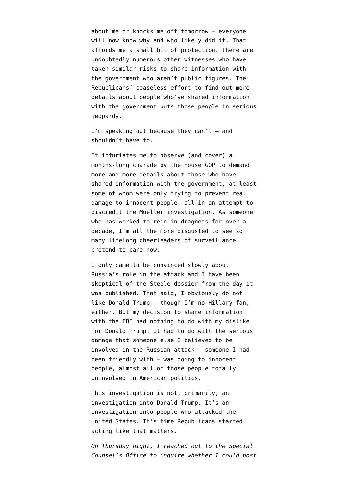about me or knocks me off tomorrow — everyone will now know why and who likely did it. That affords me a small bit of protection. There are undoubtedly numerous other witnesses who have taken similar risks to share information with the government who aren't public figures. The Republicans' ceaseless effort to find out more details about people who've shared information with the government puts those people in serious jeopardy.

I'm speaking out because they can't  $-$  and shouldn't have to.

It infuriates me to observe (and cover) a months-long charade by the House GOP to demand more and more details about those who have shared information with the government, at least some of whom were only trying to prevent real damage to innocent people, all in an attempt to discredit the Mueller investigation. As someone who has worked to rein in dragnets for over a decade, I'm all the more disgusted to see so many lifelong cheerleaders of surveillance pretend to care now.

I only [came to be convinced](https://www.emptywheel.net/2016/12/09/unpacking-new-cia-leak-dont-ignore-aluminum-tube-footnote/) slowly about Russia's role in the attack and I have been [skeptical](https://www.emptywheel.net/2017/01/13/the-released-dossier-is-not-the-complete-dossier/) of the Steele dossier from the day it was published. That said, I obviously do not like Donald Trump — though I'm no Hillary fan, either. But my decision to share information with the FBI had nothing to do with my dislike for Donald Trump. It had to do with the serious damage that someone else I believed to be involved in the Russian attack — someone I had been friendly with — was doing to innocent people, almost all of those people totally uninvolved in American politics.

This investigation is not, primarily, an investigation into Donald Trump. It's an investigation into people who attacked the United States. It's time Republicans started acting like that matters.

*On Thursday night, I reached out to the Special Counsel's Office to inquire whether I could post*